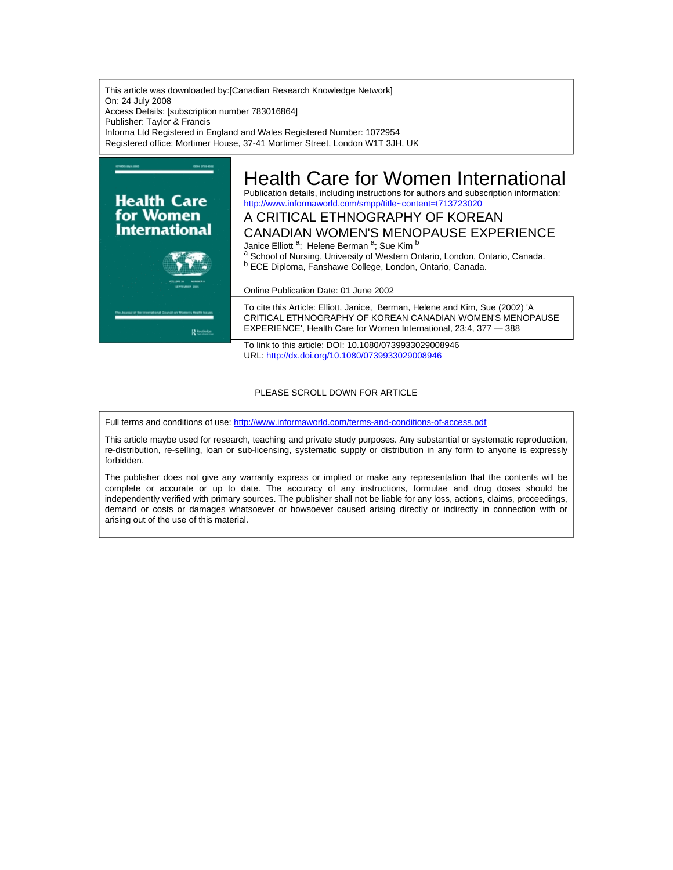This article was downloaded by:[Canadian Research Knowledge Network] On: 24 July 2008 Access Details: [subscription number 783016864] Publisher: Taylor & Francis Informa Ltd Registered in England and Wales Registered Number: 1072954 Registered office: Mortimer House, 37-41 Mortimer Street, London W1T 3JH, UK



# Health Care for Women International

Publication details, including instructions for authors and subscription information: <http://www.informaworld.com/smpp/title~content=t713723020>

A CRITICAL ETHNOGRAPHY OF KOREAN CANADIAN WOMEN'S MENOPAUSE EXPERIENCE

Janice Elliott <sup>a</sup>; Helene Berman <sup>a</sup>; Sue Kim <sup>b</sup>

a School of Nursing, University of Western Ontario, London, Ontario, Canada. <sup>b</sup> ECE Diploma, Fanshawe College, London, Ontario, Canada.

Online Publication Date: 01 June 2002

To cite this Article: Elliott, Janice, Berman, Helene and Kim, Sue (2002) 'A CRITICAL ETHNOGRAPHY OF KOREAN CANADIAN WOMEN'S MENOPAUSE EXPERIENCE', Health Care for Women International, 23:4, 377 — 388

To link to this article: DOI: 10.1080/0739933029008946 URL: <http://dx.doi.org/10.1080/0739933029008946>

# PLEASE SCROLL DOWN FOR ARTICLE

Full terms and conditions of use: <http://www.informaworld.com/terms-and-conditions-of-access.pdf>

This article maybe used for research, teaching and private study purposes. Any substantial or systematic reproduction, re-distribution, re-selling, loan or sub-licensing, systematic supply or distribution in any form to anyone is expressly forbidden.

The publisher does not give any warranty express or implied or make any representation that the contents will be complete or accurate or up to date. The accuracy of any instructions, formulae and drug doses should be independently verified with primary sources. The publisher shall not be liable for any loss, actions, claims, proceedings, demand or costs or damages whatsoever or howsoever caused arising directly or indirectly in connection with or arising out of the use of this material.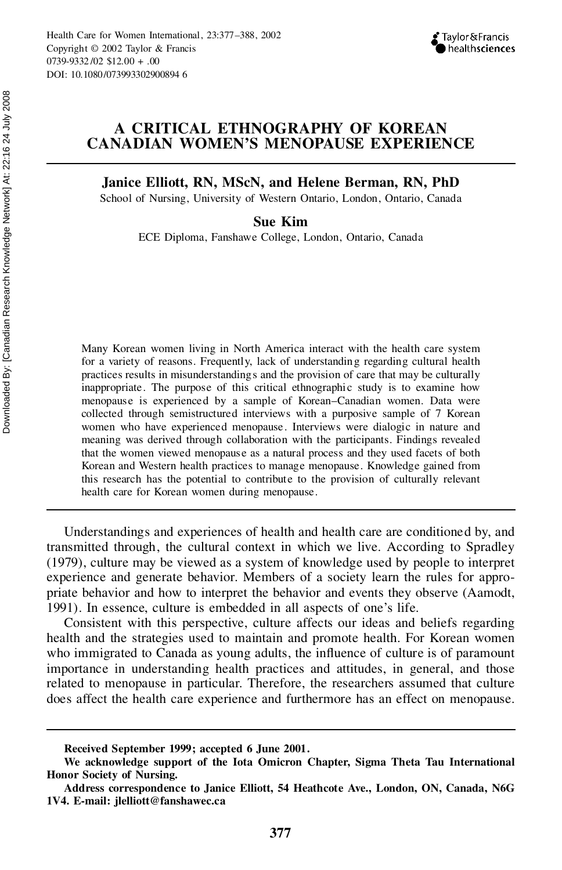# **A CRITICAL ETHNOGRAPHY OF KOREAN CANADIAN WOMEN'S MENOPAUSE EXPERIENCE**

**Janice Elliott, RN, MScN, and Helene Berman, RN, PhD**

School of Nursing, University of Western Ontario, London, Ontario, Canada

## **Sue Kim**

ECE Diploma, Fanshawe College, London, Ontario, Canada

Many Korean women living in North America interact with the health care system for a variety of reasons. Frequently, lack of understanding regarding cultural health practices results in misunderstandings and the provision of care that may be culturally inappropriate. The purpose of this critical ethnographic study is to examine how menopause is experienced by a sample of Korean–Canadian women. Data were collected through semistructured interviews with a purposive sample of 7 Korean women who have experienced menopause . Interviews were dialogic in nature and meaning was derived through collaboration with the participants. Findings revealed that the women viewed menopause as a natural process and they used facets of both Korean and Western health practices to manage menopause. Knowledge gained from this research has the potential to contribute to the provision of culturally relevant health care for Korean women during menopause.

Understandings and experiences of health and health care are conditioned by, and transmitted through, the cultural context in which we live. According to Spradley (1979), culture may be viewed as a system of knowledge used by people to interpret experience and generate behavior. Members of a society learn the rules for appro priate behavior and how to interpret the behavior and events they observe (Aamodt, 1991). In essence, culture is embedded in all aspects of one's life.

Consistent with this perspective, culture affects our ideas and beliefs regarding health and the strategies used to maintain and promote health. For Korean women who immigrated to Canada as young adults, the influence of culture is of paramount importance in understanding health practices and attitudes, in general, and those related to menopause in particular. Therefore, the researchers assumed that culture does affect the health care experience and furthermore has an effect on menopause.

**Received September 1999; accepted 6 June 2001.**

**We acknowledge support of the Iota Omicron Chapter, Sigma Theta Tau International Honor Society of Nursing.**

**Address correspondence to Janice Elliott, 54 Heathcote Ave., London, ON, Canada, N6G 1V4. E-mail: jlelliott@fanshawec.ca**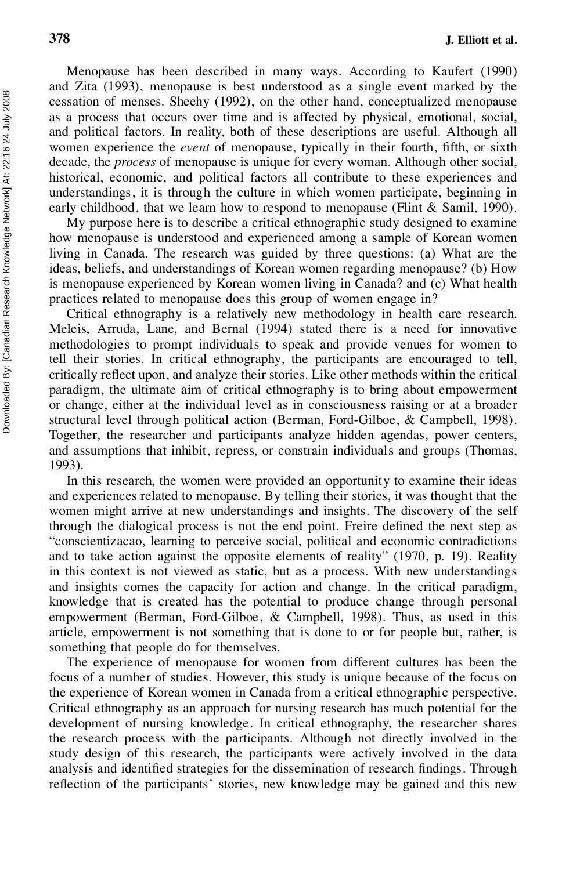Menopause has been described in many ways. According to Kaufert (1990) and Zita (1993), menopause is best understood as a single event marked by the cessation of menses. Sheehy (1992), on the other hand, conceptualized menopause as a process that occurs over time and is affected by physical, emotional, social, and political factors. In reality, both of these descriptions are useful. Although all women experience the *event* of menopause, typically in their fourth, fifth, or sixth decade, the *process* of menopause is unique for every woman. Although other social, historical, economic, and political factors all contribute to these experiences and understandings, it is through the culture in which women participate, beginning in early childhood, that we learn how to respond to menopause (Flint & Samil, 1990).

My purpose here is to describe a critical ethnographic study designed to examine how menopause is understood and experienced among a sample of Korean women living in Canada. The research was guided by three questions: (a) What are the ideas, beliefs, and understandings of Korean women regarding menopause? (b) How is menopause experienced by Korean women living in Canada? and (c) What health practices related to menopause does this group of women engage in?

Critical ethnography is a relatively new methodology in health care research. Meleis, Arruda, Lane, and Bernal (1994) stated there is a need for innovative methodologies to prompt individuals to speak and provide venues for women to tell their stories. In critical ethnography, the participants are encouraged to tell, critically reflect upon, and analyze their stories. Like other methods within the critical paradigm, the ultimate aim of critical ethnography is to bring about empowerment or change, either at the individual level as in consciousness raising or at a broader structural level through political action (Berman, Ford-Gilboe, & Campbell, 1998). Together, the researcher and participants analyze hidden agendas, power centers, and assumptions that inhibit, repress, or constrain individuals and groups (Thomas, 1993).

In this research, the women were provided an opportunity to examine their ideas and experiences related to menopause. By telling their stories, it was thought that the women might arrive at new understandings and insights. The discovery of the self through the dialogical process is not the end point. Freire defined the next step as "conscientizacao, learning to perceive social, political and economic contradictions and to take action against the opposite elements of reality" (1970, p. 19). Reality in this context is not viewed as static, but as a process. With new understandings and insights comes the capacity for action and change. In the critical paradigm, knowledge that is created has the potential to produce change through personal empowerment (Berman, Ford-Gilboe, & Campbell, 1998). Thus, as used in this article, empowerment is not something that is done to or for people but, rather, is something that people do for themselves.

The experience of menopause for women from different cultures has been the focus of a number of studies. However, this study is unique because of the focus on the experience of Korean women in Canada from a critical ethnographic perspective. Critical ethnography as an approach for nursing research has much potential for the development of nursing knowledge. In critical ethnography, the researcher shares the research process with the participants. Although not directly involved in the study design of this research, the participants were actively involved in the data analysis and identified strategies for the dissemination of research findings. Through reflection of the participants' stories, new knowledge may be gained and this new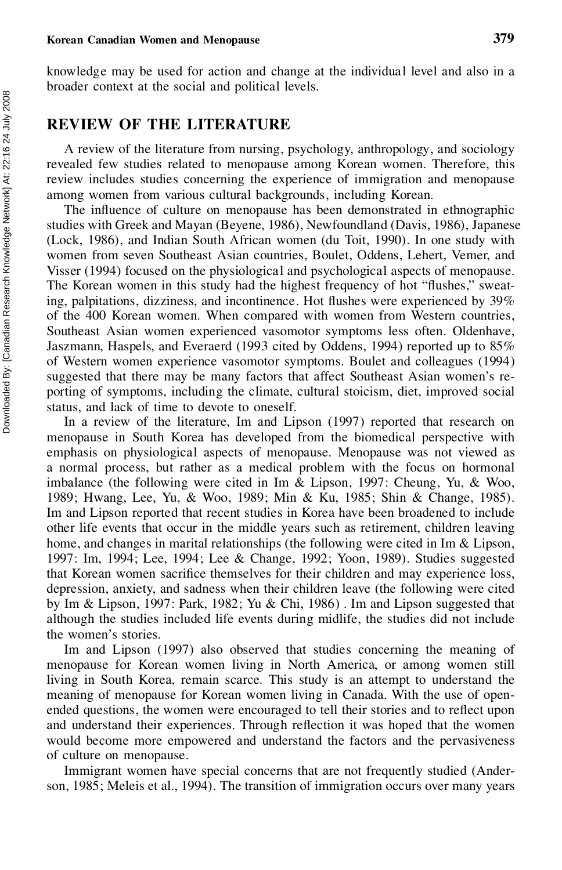#### **Korean Canadian Women and Menopause 379**

knowledge may be used for action and change at the individual level and also in a broader context at the social and political levels.

## **REVIEW OF THE LITERATURE**

A review of the literature from nursing, psychology, anthropology, and sociology revealed few studies related to menopause among Korean women. Therefore, this review includes studies concerning the experience of immigration and menopause among women from various cultural backgrounds, including Korean.

The influence of culture on menopause has been demonstrated in ethnographic studies with Greek and Mayan (Beyene, 1986), Newfoundland (Davis, 1986), Japanese (Lock, 1986), and Indian South African women (du Toit, 1990). In one study with women from seven Southeast Asian countries, Boulet, Oddens, Lehert, Vemer, and Visser (1994) focused on the physiological and psychological aspects of menopause. The Korean women in this study had the highest frequency of hot "flushes," sweating, palpitations, dizziness, and incontinence. Hot flushes were experienced by  $39\%$ of the 400 Korean women. When compared with women from Western countries, Southeast Asian women experienced vasomotor symptoms less often. Oldenhave, Jaszmann, Haspels, and Everaerd (1993 cited by Oddens, 1994) reported up to 85% of Western women experience vasomotor symptoms. Boulet and colleagues (1994) suggested that there may be many factors that affect Southeast Asian women's re porting of symptoms, including the climate, cultural stoicism, diet, improved social status, and lack of time to devote to oneself.

In a review of the literature, Im and Lipson (1997) reported that research on menopause in South Korea has developed from the biomedical perspective with emphasis on physiological aspects of menopause. Menopause was not viewed as a normal process, but rather as a medical problem with the focus on hormonal imbalance (the following were cited in Im & Lipson, 1997: Cheung, Yu, & Woo, 1989; Hwang, Lee, Yu, & Woo, 1989; Min & Ku, 1985; Shin & Change, 1985). Im and Lipson reported that recent studies in Korea have been broadened to include other life events that occur in the middle years such as retirement, children leaving home, and changes in marital relationships (the following were cited in Im & Lipson, 1997: Im, 1994; Lee, 1994; Lee & Change, 1992; Yoon, 1989). Studies suggested that Korean women sacrifice themselves for their children and may experience loss, depression, anxiety, and sadness when their children leave (the following were cited by Im & Lipson, 1997: Park, 1982; Yu & Chi, 1986) . Im and Lipson suggested that although the studies included life events during midlife, the studies did not include the women's stories.

Im and Lipson (1997) also observed that studies concerning the meaning of menopause for Korean women living in North America, or among women still living in South Korea, remain scarce. This study is an attempt to understand the meaning of menopause for Korean women living in Canada. With the use of open ended questions, the women were encouraged to tell their stories and to reflect upon and understand their experiences. Through reflection it was hoped that the women would become more empowered and understand the factors and the pervasiveness of culture on menopause.

Immigrant women have special concerns that are not frequently studied (Ander son, 1985; Meleis et al., 1994). The transition of immigration occurs over many years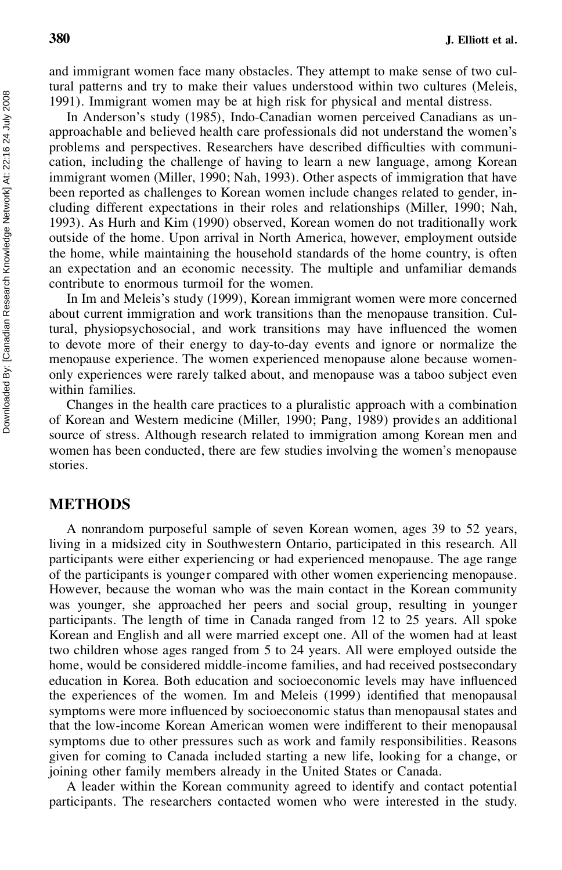and immigrant women face many obstacles. They attempt to make sense of two cultural patterns and try to make their values understood within two cultures (Meleis, 1991). Immigrant women may be at high risk for physical and mental distress.

In Anderson's study (1985), Indo-Canadian women perceived Canadians as un approachable and believed health care professionals did not understand the women's problems and perspectives. Researchers have described difficulties with communication, including the challenge of having to learn a new language, among Korean immigrant women (Miller, 1990; Nah, 1993). Other aspects of immigration that have been reported as challenges to Korean women include changes related to gender, in cluding different expectations in their roles and relationships (Miller, 1990; Nah, 1993). As Hurh and Kim (1990) observed, Korean women do not traditionally work outside of the home. Upon arrival in North America, however, employment outside the home, while maintaining the household standards of the home country, is often an expectation and an economic necessity. The multiple and unfamiliar demands contribute to enormous turmoil for the women.

In Im and Meleis's study (1999), Korean immigrant women were more concerned about current immigration and work transitions than the menopause transition. Cultural, physiopsychosocial, and work transitions may have influenced the women to devote more of their energy to day-to-day events and ignore or normalize the menopause experience. The women experienced menopause alone because women only experiences were rarely talked about, and menopause was a taboo subject even within families.

Changes in the health care practices to a pluralistic approach with a combination of Korean and Western medicine (Miller, 1990; Pang, 1989) provides an additional source of stress. Although research related to immigration among Korean men and women has been conducted, there are few studies involving the women's menopause stories.

## **METHODS**

A nonrandom purposeful sample of seven Korean women, ages 39 to 52 years, living in a midsized city in Southwestern Ontario, participated in this research. All participants were either experiencing or had experienced menopause. The age range of the participants is younger compared with other women experiencing menopause. However, because the woman who was the main contact in the Korean community was younger, she approached her peers and social group, resulting in younger participants. The length of time in Canada ranged from 12 to 25 years. All spoke Korean and English and all were married except one. All of the women had at least two children whose ages ranged from 5 to 24 years. All were employed outside the home, would be considered middle-income families, and had received postsecondary education in Korea. Both education and socioeconomic levels may have influenced the experiences of the women. Im and Meleis (1999) identified that menopausal symptoms were more influenced by socioeconomic status than menopausal states and that the low-income Korean American women were indifferent to their menopausal symptoms due to other pressures such as work and family responsibilities. Reasons given for coming to Canada included starting a new life, looking for a change, or joining other family members already in the United States or Canada.

A leader within the Korean community agreed to identify and contact potential participants. The researchers contacted women who were interested in the study.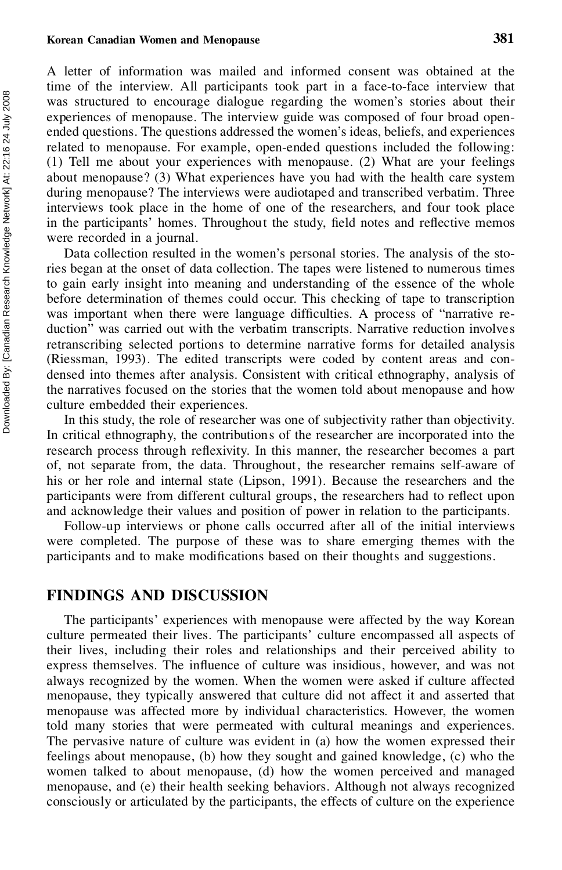#### **Korean Canadian Women and Menopause 381**

A letter of information was mailed and informed consent was obtained at the time of the interview. All participants took part in a face-to-face interview that was structured to encourage dialogue regarding the women's stories about their experiences of menopause. The interview guide was composed of four broad open ended questions. The questions addressed the women's ideas, beliefs, and experiences related to menopause. For example, open-ended questions included the following: (1) Tell me about your experiences with menopause. (2) What are your feelings about menopause? (3) What experiences have you had with the health care system during menopause? The interviews were audiotaped and transcribed verbatim. Three interviews took place in the home of one of the researchers, and four took place in the participants' homes. Throughout the study, field notes and reflective memos were recorded in a journal.

Data collection resulted in the women's personal stories. The analysis of the stories began at the onset of data collection. The tapes were listened to numerous times to gain early insight into meaning and understanding of the essence of the whole before determination of themes could occur. This checking of tape to transcription was important when there were language difficulties. A process of "narrative reduction" was carried out with the verbatim transcripts. Narrative reduction involves retranscribing selected portions to determine narrative forms for detailed analysis (Riessman, 1993). The edited transcripts were coded by content areas and con densed into themes after analysis. Consistent with critical ethnography, analysis of the narratives focused on the stories that the women told about menopause and how culture embedded their experiences.

In this study, the role of researcher was one of subjectivity rather than objectivity. In critical ethnography, the contributions of the researcher are incorporated into the research process through reflexivity. In this manner, the researcher becomes a part of, not separate from, the data. Throughout, the researcher remains self-aware of his or her role and internal state (Lipson, 1991). Because the researchers and the participants were from different cultural groups, the researchers had to reflect upon and acknowledge their values and position of power in relation to the participants.

Follow-up interviews or phone calls occurred after all of the initial interviews were completed. The purpose of these was to share emerging themes with the participants and to make modifications based on their thoughts and suggestions.

#### **FINDINGS AND DISCUSSION**

The participants' experiences with menopause were affected by the way Korean culture permeated their lives. The participants' culture encompassed all aspects of their lives, including their roles and relationships and their perceived ability to express themselves. The influence of culture was insidious, however, and was not always recognized by the women. When the women were asked if culture affected menopause, they typically answered that culture did not affect it and asserted that menopause was affected more by individual characteristics. However, the women told many stories that were permeated with cultural meanings and experiences. The pervasive nature of culture was evident in (a) how the women expressed their feelings about menopause, (b) how they sought and gained knowledge, (c) who the women talked to about menopause, (d) how the women perceived and managed menopause, and (e) their health seeking behaviors. Although not always recognized consciously or articulated by the participants, the effects of culture on the experience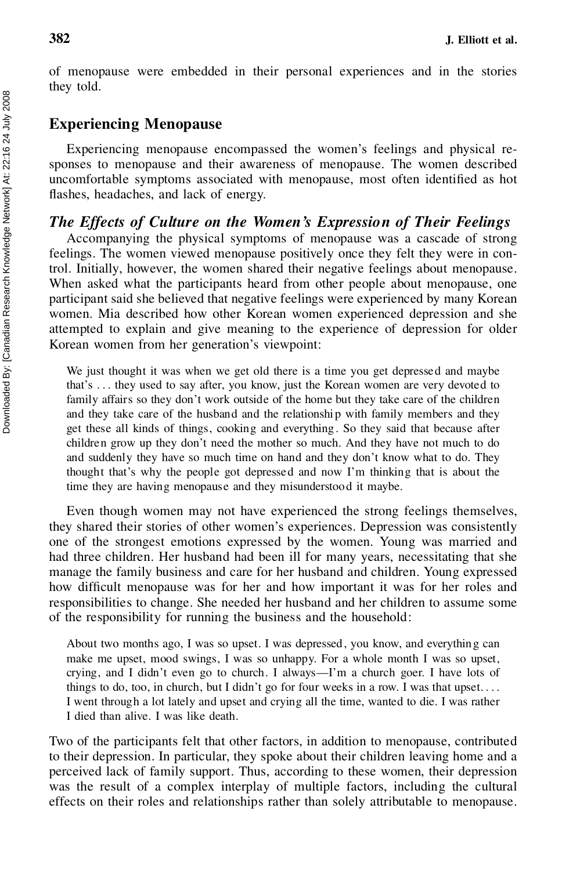of menopause were embedded in their personal experiences and in the stories they told.

#### **Experiencing Menopause**

Experiencing menopause encompassed the women's feelings and physical re sponses to menopause and their awareness of menopause. The women described uncomfortable symptoms associated with menopause, most often identified as hot flashes, headaches, and lack of energy.

#### *The Effects of Culture on the Women's Expression of Their Feelings*

Accompanying the physical symptoms of menopause was a cascade of strong feelings. The women viewed menopause positively once they felt they were in control. Initially, however, the women shared their negative feelings about menopause. When asked what the participants heard from other people about menopause, one participant said she believed that negative feelings were experienced by many Korean women. Mia described how other Korean women experienced depression and she attempted to explain and give meaning to the experience of depression for older Korean women from her generation's viewpoint:

We just thought it was when we get old there is a time you get depressed and maybe that's ... they used to say after, you know, just the Korean women are very devoted to family affairs so they don't work outside of the home but they take care of the children and they take care of the husband and the relationship with family members and they get these all kinds of things, cooking and everything . So they said that because after children grow up they don't need the mother so much. And they have not much to do and suddenly they have so much time on hand and they don't know what to do. They thought that's why the people got depressed and now I'm thinking that is about the time they are having menopause and they misunderstood it maybe.

Even though women may not have experienced the strong feelings themselves, they shared their stories of other women's experiences. Depression was consistently one of the strongest emotions expressed by the women. Young was married and had three children. Her husband had been ill for many years, necessitating that she manage the family business and care for her husband and children. Young expressed how difficult menopause was for her and how important it was for her roles and responsibilities to change. She needed her husband and her children to assume some of the responsibility for running the business and the household:

About two months ago, I was so upset. I was depressed, you know, and everything can make me upset, mood swings, I was so unhappy. For a whole month I was so upset, crying, and I didn't even go to church. I always—I'm a church goer. I have lots of things to do, too, in church, but I didn't go for four weeks in a row. I was that upset.... I went through a lot lately and upset and crying all the time, wanted to die. I was rather I died than alive. I was like death.

Two of the participants felt that other factors, in addition to menopause, contributed to their depression. In particular, they spoke about their children leaving home and a perceived lack of family support. Thus, according to these women, their depression was the result of a complex interplay of multiple factors, including the cultural effects on their roles and relationships rather than solely attributable to menopause.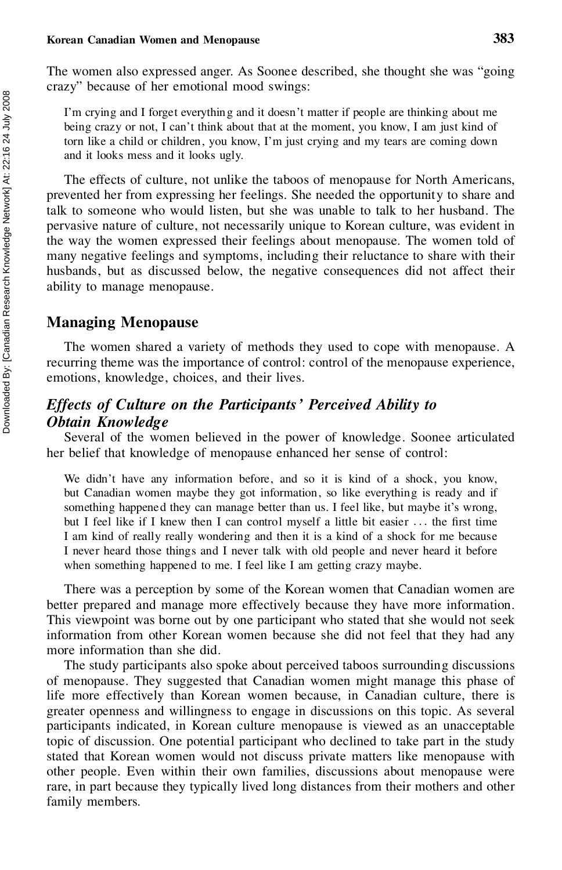The women also expressed anger. As Soonee described, she thought she was "going crazy" because of her emotional mood swings:

I'm crying and I forget everything and it doesn't matter if people are thinking about me being crazy or not, I can't think about that at the moment, you know, I am just kind of torn like a child or children, you know, I'm just crying and my tears are coming down and it looks mess and it looks ugly.

The effects of culture, not unlike the taboos of menopause for North Americans, prevented her from expressing her feelings. She needed the opportunity to share and talk to someone who would listen, but she was unable to talk to her husband. The pervasive nature of culture, not necessarily unique to Korean culture, was evident in the way the women expressed their feelings about menopause. The women told of many negative feelings and symptoms, including their reluctance to share with their husbands, but as discussed below, the negative consequences did not affect their ability to manage menopause.

#### **Managing Menopause**

The women shared a variety of methods they used to cope with menopause. A recurring theme was the importance of control: control of the menopause experience, emotions, knowledge, choices, and their lives.

# *Effects of Culture on the Participants' Perceived Ability to Obtain Knowledge*

Several of the women believed in the power of knowledge. Soonee articulated her belief that knowledge of menopause enhanced her sense of control:

We didn't have any information before, and so it is kind of a shock, you know, but Canadian women maybe they got information, so like everything is ready and if something happened they can manage better than us. I feel like, but maybe it's wrong, but I feel like if I knew then I can control myself a little bit easier ... the first time I am kind of really really wondering and then it is a kind of a shock for me because I never heard those things and I never talk with old people and never heard it before when something happened to me. I feel like I am getting crazy maybe.

There was a perception by some of the Korean women that Canadian women are better prepared and manage more effectively because they have more information. This viewpoint was borne out by one participant who stated that she would not seek information from other Korean women because she did not feel that they had any more information than she did.

The study participants also spoke about perceived taboos surrounding discussions of menopause. They suggested that Canadian women might manage this phase of life more effectively than Korean women because, in Canadian culture, there is greater openness and willingness to engage in discussions on this topic. As several participants indicated, in Korean culture menopause is viewed as an unacceptable topic of discussion. One potential participant who declined to take part in the study stated that Korean women would not discuss private matters like menopause with other people. Even within their own families, discussions about menopause were rare, in part because they typically lived long distances from their mothers and other family members.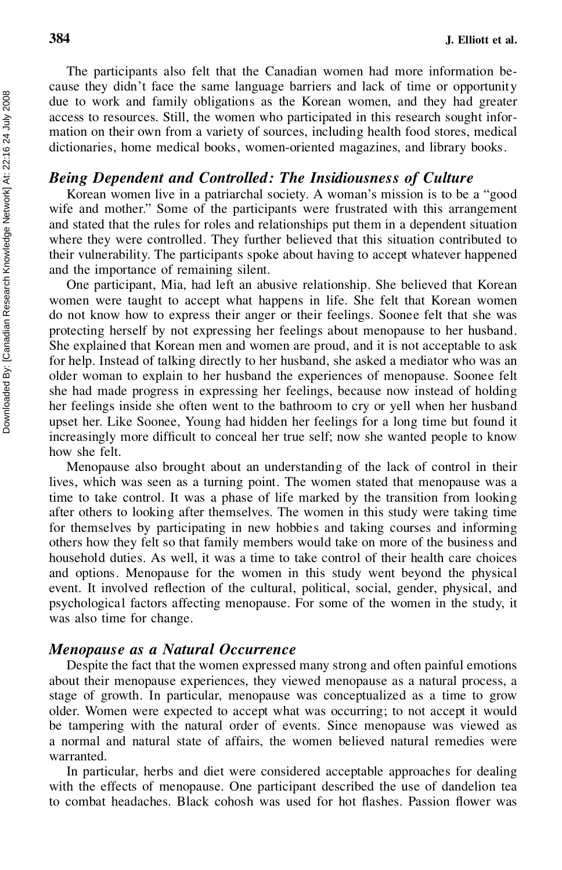The participants also felt that the Canadian women had more information be cause they didn't face the same language barriers and lack of time or opportunity due to work and family obligations as the Korean women, and they had greater access to resources. Still, the women who participated in this research sought infor mation on their own from a variety of sources, including health food stores, medical dictionaries, home medical books, women-oriented magazines, and library books.

#### *Being Dependent and Controlled: The Insidiousness of Culture*

Korean women live in a patriarchal society. A woman's mission is to be a "good wife and mother." Some of the participants were frustrated with this arrangement and stated that the rules for roles and relationships put them in a dependent situation where they were controlled. They further believed that this situation contributed to their vulnerability. The participants spoke about having to accept whatever happened and the importance of remaining silent.

One participant, Mia, had left an abusive relationship. She believed that Korean women were taught to accept what happens in life. She felt that Korean women do not know how to express their anger or their feelings. Soonee felt that she was protecting herself by not expressing her feelings about menopause to her husband. She explained that Korean men and women are proud, and it is not acceptable to ask for help. Instead of talking directly to her husband, she asked a mediator who was an older woman to explain to her husband the experiences of menopause. Soonee felt she had made progress in expressing her feelings, because now instead of holding her feelings inside she often went to the bathroom to cry or yell when her husband upset her. Like Soonee, Young had hidden her feelings for a long time but found it increasingly more difficult to conceal her true self; now she wanted people to know how she felt.

Menopause also brought about an understanding of the lack of control in their lives, which was seen as a turning point. The women stated that menopause was a time to take control. It was a phase of life marked by the transition from looking after others to looking after themselves. The women in this study were taking time for themselves by participating in new hobbies and taking courses and informing others how they felt so that family members would take on more of the business and household duties. As well, it was a time to take control of their health care choices and options. Menopause for the women in this study went beyond the physical event. It involved reflection of the cultural, political, social, gender, physical, and psychological factors affecting menopause. For some of the women in the study, it was also time for change.

#### *Menopause as a Natural Occurrence*

Despite the fact that the women expressed many strong and often painful emotions about their menopause experiences, they viewed menopause as a natural process, a stage of growth. In particular, menopause was conceptualized as a time to grow older. Women were expected to accept what was occurring; to not accept it would be tampering with the natural order of events. Since menopause was viewed as a normal and natural state of affairs, the women believed natural remedies were warranted.

In particular, herbs and diet were considered acceptable approaches for dealing with the effects of menopause. One participant described the use of dandelion tea to combat headaches. Black cohosh was used for hot flashes. Passion flower was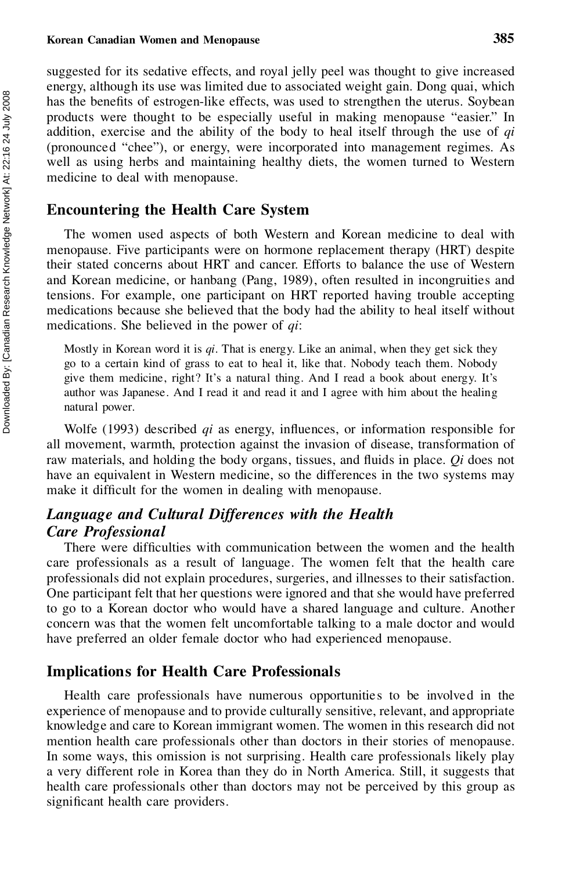#### **Korean Canadian Women and Menopause 385**

suggested for its sedative effects, and royal jelly peel was thought to give increased energy, although its use was limited due to associated weight gain. Dong quai, which has the benefits of estrogen-like effects, was used to strengthen the uterus. Soybean products were thought to be especially useful in making menopause "easier." In addition, exercise and the ability of the body to heal itself through the use of *qi* (pronounced "chee"), or energy, were incorporated into management regimes. As well as using herbs and maintaining healthy diets, the women turned to Western medicine to deal with menopause.

## **Encountering the Health Care System**

The women used aspects of both Western and Korean medicine to deal with menopause. Five participants were on hormone replacement therapy (HRT) despite their stated concerns about HRT and cancer. Efforts to balance the use of Western and Korean medicine, or hanbang (Pang, 1989), often resulted in incongruities and tensions. For example, one participant on HRT reported having trouble accepting medications because she believed that the body had the ability to heal itself without medications. She believed in the power of *qi*:

Mostly in Korean word it is *qi*. That is energy. Like an animal, when they get sick they go to a certain kind of grass to eat to heal it, like that. Nobody teach them. Nobody give them medicine, right? It's a natural thing. And I read a book about energy. It's author was Japanese. And I read it and read it and I agree with him about the healing natural power.

Wolfe (1993) described *qi* as energy, influences, or information responsible for all movement, warmth, protection against the invasion of disease, transformation of raw materials, and holding the body organs, tissues, and fluids in place. *Qi* does not have an equivalent in Western medicine, so the differences in the two systems may make it difficult for the women in dealing with menopause.

## *Language and Cultural Differences with the Health Care Professional*

There were difficulties with communication between the women and the health care professionals as a result of language. The women felt that the health care professionals did not explain procedures, surgeries, and illnesses to their satisfaction. One participant felt that her questions were ignored and that she would have preferred to go to a Korean doctor who would have a shared language and culture. Another concern was that the women felt uncomfortable talking to a male doctor and would have preferred an older female doctor who had experienced menopause.

#### **Implications for Health Care Professionals**

Health care professionals have numerous opportunities to be involved in the experience of menopause and to provide culturally sensitive, relevant, and appropriate knowledge and care to Korean immigrant women. The women in this research did not mention health care professionals other than doctors in their stories of menopause. In some ways, this omission is not surprising. Health care professionals likely play a very different role in Korea than they do in North America. Still, it suggests that health care professionals other than doctors may not be perceived by this group as significant health care providers.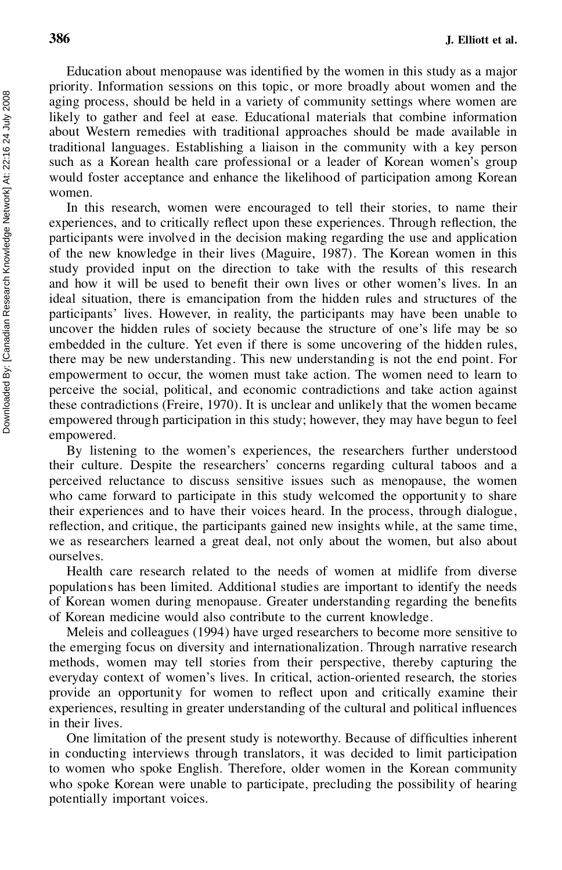Education about menopause was identified by the women in this study as a major priority. Information sessions on this topic, or more broadly about women and the aging process, should be held in a variety of community settings where women are likely to gather and feel at ease. Educational materials that combine information about Western remedies with traditional approaches should be made available in traditional languages. Establishing a liaison in the community with a key person such as a Korean health care professional or a leader of Korean women's group would foster acceptance and enhance the likelihood of participation among Korean women.

In this research, women were encouraged to tell their stories, to name their experiences, and to critically reflect upon these experiences. Through reflection, the participants were involved in the decision making regarding the use and application of the new knowledge in their lives (Maguire, 1987). The Korean women in this study provided input on the direction to take with the results of this research and how it will be used to benefit their own lives or other women's lives. In an ideal situation, there is emancipation from the hidden rules and structures of the participants' lives. However, in reality, the participants may have been unable to uncover the hidden rules of society because the structure of one's life may be so embedded in the culture. Yet even if there is some uncovering of the hidden rules, there may be new understanding. This new understanding is not the end point. For empowerment to occur, the women must take action. The women need to learn to perceive the social, political, and economic contradictions and take action against these contradictions (Freire, 1970). It is unclear and unlikely that the women became empowered through participation in this study; however, they may have begun to feel empowered.

By listening to the women's experiences, the researchers further understood their culture. Despite the researchers' concerns regarding cultural taboos and a perceived reluctance to discuss sensitive issues such as menopause, the women who came forward to participate in this study welcomed the opportunity to share their experiences and to have their voices heard. In the process, through dialogue, reflection, and critique, the participants gained new insights while, at the same time, we as researchers learned a great deal, not only about the women, but also about ourselves.

Health care research related to the needs of women at midlife from diverse populations has been limited. Additional studies are important to identify the needs of Korean women during menopause. Greater understanding regarding the benefits of Korean medicine would also contribute to the current knowledge.

Meleis and colleagues (1994) have urged researchers to become more sensitive to the emerging focus on diversity and internationalization. Through narrative research methods, women may tell stories from their perspective, thereby capturing the everyday context of women's lives. In critical, action-oriented research, the stories provide an opportunity for women to reflect upon and critically examine their experiences, resulting in greater understanding of the cultural and political influences in their lives.

One limitation of the present study is noteworthy. Because of difficulties inherent in conducting interviews through translators, it was decided to limit participation to women who spoke English. Therefore, older women in the Korean community who spoke Korean were unable to participate, precluding the possibility of hearing potentially important voices.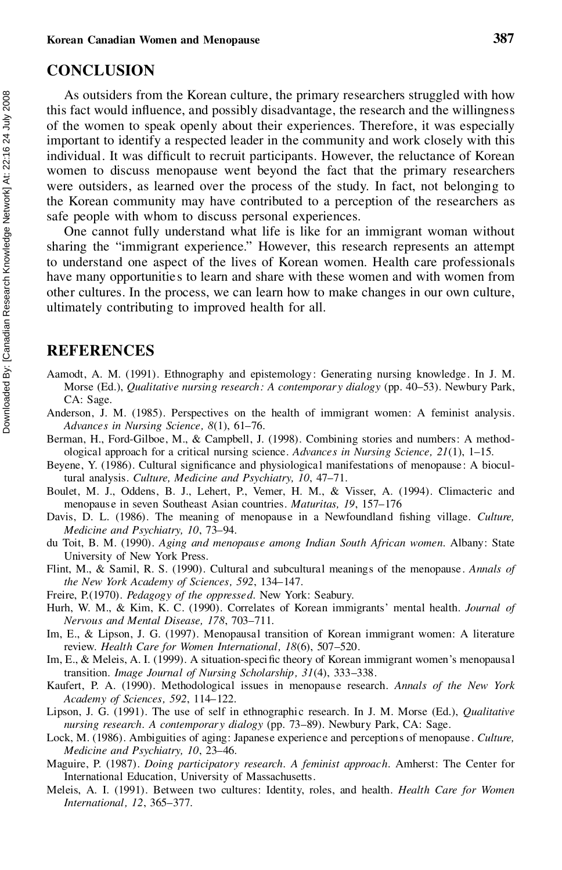## **CONCLUSION**

As outsiders from the Korean culture, the primary researchers struggled with how this fact would influence, and possibly disadvantage, the research and the willingness of the women to speak openly about their experiences. Therefore, it was especially important to identify a respected leader in the community and work closely with this individual. It was difficult to recruit participants. However, the reluctance of Korean women to discuss menopause went beyond the fact that the primary researchers were outsiders, as learned over the process of the study. In fact, not belonging to the Korean community may have contributed to a perception of the researchers as safe people with whom to discuss personal experiences.

One cannot fully understand what life is like for an immigrant woman without sharing the "immigrant experience." However, this research represents an attempt to understand one aspect of the lives of Korean women. Health care professionals have many opportunitie s to learn and share with these women and with women from other cultures. In the process, we can learn how to make changes in our own culture, ultimately contributing to improved health for all.

## **REFERENCES**

- Aamodt, A. M. (1991). Ethnography and epistemology: Generating nursing knowledge. In J. M. Morse (Ed.), *Qualitative nursing research: A contemporar y dialogy* (pp. 40–53). Newbury Park, CA: Sage.
- Anderson, J. M. (1985). Perspectives on the health of immigrant women: A feminist analysis. *Advances in Nursing Science, 8*(1), 61–76.
- Berman, H., Ford-Gilboe, M., & Campbell, J. (1998). Combining stories and numbers: A method ological approach for a critical nursing science. *Advances in Nursing Science, 21*(1), 1–15.
- Beyene, Y. (1986). Cultural significance and physiological manifestations of menopause: A biocultural analysis. *Culture, Medicine and Psychiatry, 10*, 47–71.
- Boulet, M. J., Oddens, B. J., Lehert, P., Vemer, H. M., & Visser, A. (1994). Climacteric and menopause in seven Southeast Asian countries. *Maturitas, 19*, 157–176
- Davis, D. L. (1986). The meaning of menopause in a Newfoundland fishing village. *Culture*, *Medicine and Psychiatry, 10*, 73–94.
- du Toit, B. M. (1990). *Aging and menopause among Indian South African women*. Albany: State University of New York Press.
- Flint, M., & Samil, R. S. (1990). Cultural and subcultural meanings of the menopause . *Annals of the New York Academy of Sciences, 592*, 134–147.
- Freire, P.(1970). *Pedagogy of the oppressed*. New York: Seabury.
- Hurh, W. M., & Kim, K. C. (1990). Correlates of Korean immigrants' mental health. *Journal of Nervous and Mental Disease, 178*, 703–711.
- Im, E., & Lipson, J. G. (1997). Menopausal transition of Korean immigrant women: A literature review. *Health Care for Women International, 18*(6), 507–520.
- Im, E., & Meleis, A. I. (1999). A situation-specific theory of Korean immigrant women's menopausal transition. *Image Journal of Nursing Scholarship, 31*(4), 333–338.
- Kaufert, P. A. (1990). Methodological issues in menopause research. *Annals of the New York Academy of Sciences, 592*, 114–122.
- Lipson, J. G. (1991). The use of self in ethnographic research. In J. M. Morse (Ed.), *Qualitative nursing research. A contemporar y dialogy* (pp. 73–89). Newbury Park, CA: Sage.
- Lock, M. (1986). Ambiguities of aging: Japanese experience and perceptions of menopause . *Culture, Medicine and Psychiatry, 10*, 23–46.
- Maguire, P. (1987). *Doing participatory research. A feminist approach*. Amherst: The Center for International Education, University of Massachusetts.
- Meleis, A. I. (1991). Between two cultures: Identity, roles, and health. *Health Care for Women International, 12*, 365–377.